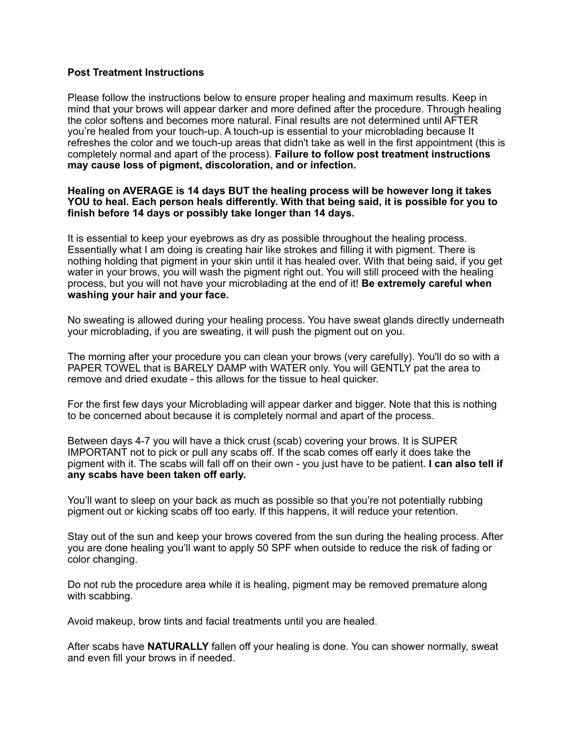## **Post Treatment Instructions**

Please follow the instructions below to ensure proper healing and maximum results. Keep in mind that your brows will appear darker and more defined after the procedure. Through healing the color softens and becomes more natural. Final results are not determined until AFTER you're healed from your touch-up. A touch-up is essential to your microblading because It refreshes the color and we touch-up areas that didn't take as well in the first appointment (this is completely normal and apart of the process). **Failure to follow post treatment instructions may cause loss of pigment, discoloration, and or infection.** 

## **Healing on AVERAGE is 14 days BUT the healing process will be however long it takes YOU to heal. Each person heals differently. With that being said, it is possible for you to finish before 14 days or possibly take longer than 14 days.**

It is essential to keep your eyebrows as dry as possible throughout the healing process. Essentially what I am doing is creating hair like strokes and filling it with pigment. There is nothing holding that pigment in your skin until it has healed over. With that being said, if you get water in your brows, you will wash the pigment right out. You will still proceed with the healing process, but you will not have your microblading at the end of it! **Be extremely careful when washing your hair and your face.**

No sweating is allowed during your healing process. You have sweat glands directly underneath your microblading, if you are sweating, it will push the pigment out on you.

The morning after your procedure you can clean your brows (very carefully). You'll do so with a PAPER TOWEL that is BARELY DAMP with WATER only. You will GENTLY pat the area to remove and dried exudate - this allows for the tissue to heal quicker.

For the first few days your Microblading will appear darker and bigger. Note that this is nothing to be concerned about because it is completely normal and apart of the process.

Between days 4-7 you will have a thick crust (scab) covering your brows. It is SUPER IMPORTANT not to pick or pull any scabs off. If the scab comes off early it does take the pigment with it. The scabs will fall off on their own - you just have to be patient. **I can also tell if any scabs have been taken off early.** 

You'll want to sleep on your back as much as possible so that you're not potentially rubbing pigment out or kicking scabs off too early. If this happens, it will reduce your retention.

Stay out of the sun and keep your brows covered from the sun during the healing process. After you are done healing you'll want to apply 50 SPF when outside to reduce the risk of fading or color changing.

Do not rub the procedure area while it is healing, pigment may be removed premature along with scabbing.

Avoid makeup, brow tints and facial treatments until you are healed.

After scabs have **NATURALLY** fallen off your healing is done. You can shower normally, sweat and even fill your brows in if needed.